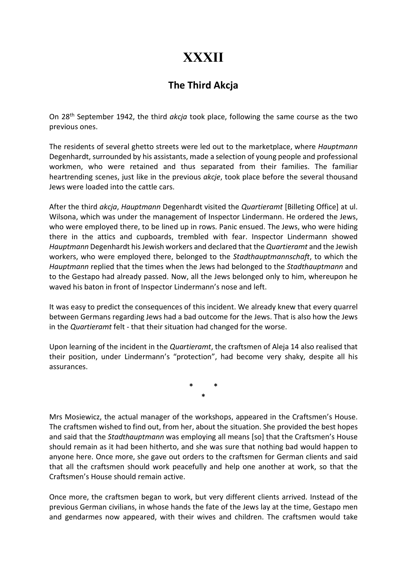## XXXII

## The Third Akcja

On 28<sup>th</sup> September 1942, the third akcja took place, following the same course as the two previous ones.

The residents of several ghetto streets were led out to the marketplace, where Hauptmann Degenhardt, surrounded by his assistants, made a selection of young people and professional workmen, who were retained and thus separated from their families. The familiar heartrending scenes, just like in the previous akcje, took place before the several thousand Jews were loaded into the cattle cars.

After the third *akcja, Hauptmann* Degenhardt visited the *Quartieramt* [Billeting Office] at ul. Wilsona, which was under the management of Inspector Lindermann. He ordered the Jews, who were employed there, to be lined up in rows. Panic ensued. The Jews, who were hiding there in the attics and cupboards, trembled with fear. Inspector Lindermann showed Hauptmann Degenhardt his Jewish workers and declared that the Quartieramt and the Jewish workers, who were employed there, belonged to the Stadthauptmannschaft, to which the Hauptmann replied that the times when the Jews had belonged to the Stadthauptmann and to the Gestapo had already passed. Now, all the Jews belonged only to him, whereupon he waved his baton in front of Inspector Lindermann's nose and left.

It was easy to predict the consequences of this incident. We already knew that every quarrel between Germans regarding Jews had a bad outcome for the Jews. That is also how the Jews in the Quartieramt felt - that their situation had changed for the worse.

Upon learning of the incident in the Quartieramt, the craftsmen of Aleja 14 also realised that their position, under Lindermann's "protection", had become very shaky, despite all his assurances.

> \* \* \*

Mrs Mosiewicz, the actual manager of the workshops, appeared in the Craftsmen's House. The craftsmen wished to find out, from her, about the situation. She provided the best hopes and said that the *Stadthauptmann* was employing all means [so] that the Craftsmen's House should remain as it had been hitherto, and she was sure that nothing bad would happen to anyone here. Once more, she gave out orders to the craftsmen for German clients and said that all the craftsmen should work peacefully and help one another at work, so that the Craftsmen's House should remain active.

Once more, the craftsmen began to work, but very different clients arrived. Instead of the previous German civilians, in whose hands the fate of the Jews lay at the time, Gestapo men and gendarmes now appeared, with their wives and children. The craftsmen would take